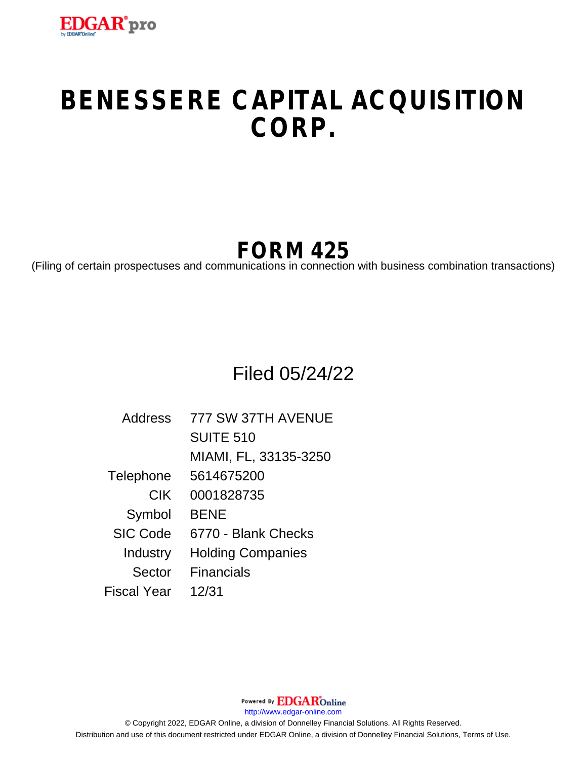

# **BENESSERE CAPITAL ACQUISITION CORP.**

# **FORM 425**

(Filing of certain prospectuses and communications in connection with business combination transactions)

## Filed 05/24/22

| Address         | 777 SW 37TH AVENUE       |
|-----------------|--------------------------|
|                 | <b>SUITE 510</b>         |
|                 | MIAMI, FL, 33135-3250    |
| Telephone       | 5614675200               |
| <b>CIK</b>      | 0001828735               |
| Symbol          | <b>BENE</b>              |
| <b>SIC Code</b> | 6770 - Blank Checks      |
| Industry        | <b>Holding Companies</b> |
| Sector          | <b>Financials</b>        |
| Fiscal Year     | 12/31                    |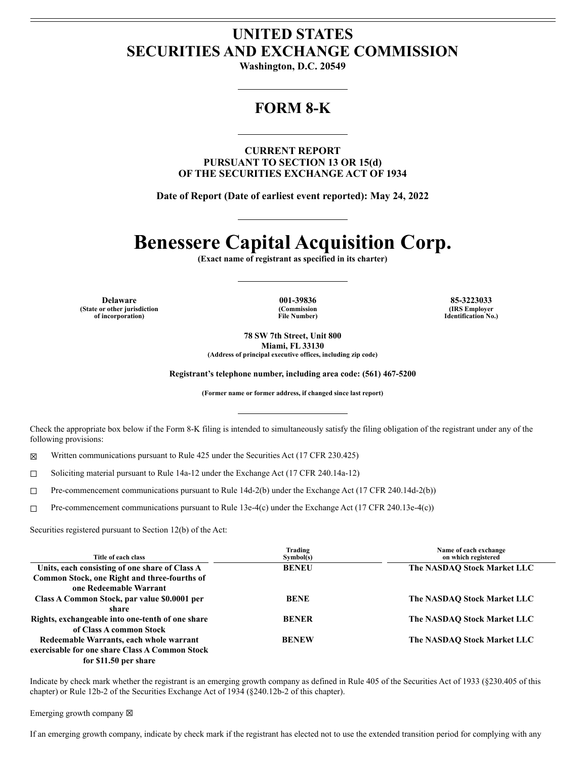### **UNITED STATES SECURITIES AND EXCHANGE COMMISSION**

Washington, D.C. 20549

### **FORM 8-K**

**CURRENT REPORT** PURSUANT TO SECTION 13 OR 15(d) OF THE SECURITIES EXCHANGE ACT OF 1934

Date of Report (Date of earliest event reported): May 24, 2022

## **Benessere Capital Acquisition Corp.**

(Exact name of registrant as specified in its charter)

**Delaware** (State or other jurisdiction of incorporation)

001-39836 (Commission **File Number)** 

85-3223033 (IRS Employer Identification No.)

78 SW 7th Street, Unit 800 Miami, FL 33130

(Address of principal executive offices, including zip code)

Registrant's telephone number, including area code: (561) 467-5200

(Former name or former address, if changed since last report)

Check the appropriate box below if the Form 8-K filing is intended to simultaneously satisfy the filing obligation of the registrant under any of the following provisions:

X Written communications pursuant to Rule 425 under the Securities Act (17 CFR 230.425)

Soliciting material pursuant to Rule 14a-12 under the Exchange Act (17 CFR 240.14a-12)  $\Box$ 

Pre-commencement communications pursuant to Rule 14d-2(b) under the Exchange Act (17 CFR 240.14d-2(b))  $\Box$ 

Pre-commencement communications pursuant to Rule 13e-4(c) under the Exchange Act (17 CFR 240.13e-4(c))  $\Box$ 

Securities registered pursuant to Section 12(b) of the Act:

| Title of each class                              | Trading<br>Symbol(s) | Name of each exchange<br>on which registered |
|--------------------------------------------------|----------------------|----------------------------------------------|
| Units, each consisting of one share of Class A   | <b>BENEU</b>         | The NASDAO Stock Market LLC                  |
| Common Stock, one Right and three-fourths of     |                      |                                              |
| one Redeemable Warrant                           |                      |                                              |
| Class A Common Stock, par value \$0.0001 per     | <b>BENE</b>          | The NASDAQ Stock Market LLC                  |
| share                                            |                      |                                              |
| Rights, exchangeable into one-tenth of one share | <b>BENER</b>         | The NASDAQ Stock Market LLC                  |
| of Class A common Stock                          |                      |                                              |
| Redeemable Warrants, each whole warrant          | <b>BENEW</b>         | The NASDAO Stock Market LLC                  |
| exercisable for one share Class A Common Stock   |                      |                                              |
| for \$11.50 per share                            |                      |                                              |

Indicate by check mark whether the registrant is an emerging growth company as defined in Rule 405 of the Securities Act of 1933 (§230.405 of this chapter) or Rule 12b-2 of the Securities Exchange Act of 1934 (§240.12b-2 of this chapter).

#### Emerging growth company ⊠

If an emerging growth company, indicate by check mark if the registrant has elected not to use the extended transition period for complying with any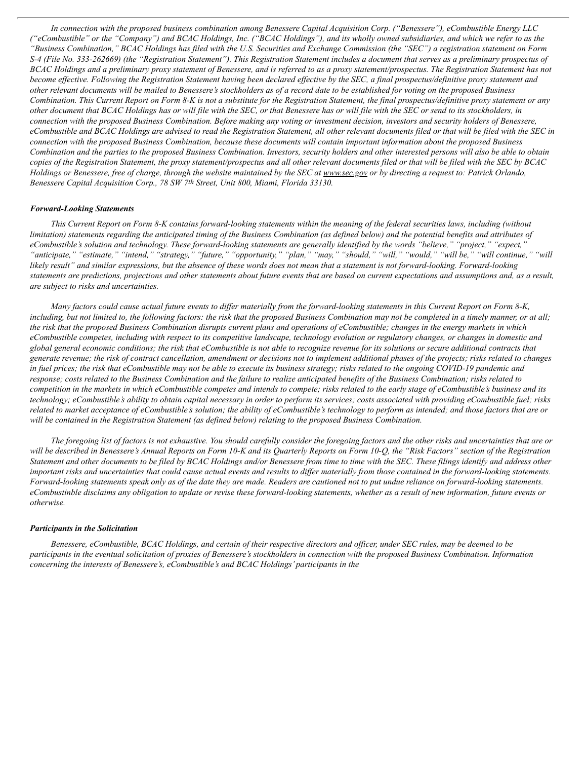In connection with the proposed business combination among Benessere Capital Acquisition Corp. ("Benessere"), eCombustible Energy LLC ("eCombustible" or the "Company") and BCAC Holdings, Inc. ("BCAC Holdings"), and its wholly owned subsidiaries, and which we refer to as the "Business Combination," BCAC Holdings has filed with the U.S. Securities and Exchange Commission (the "SEC") a registration statement on Form S-4 (File No. 333-262669) (the "Registration Statement"). This Registration Statement includes a document that serves as a preliminary prospectus of BCAC Holdings and a preliminary proxy statement of Benessere, and is referred to as a proxy statement/prospectus. The Registration Statement has not become effective. Following the Registration Statement having been declared effective by the SEC, a final prospectus/definitive proxy statement and other relevant documents will be mailed to Benessere's stockholders as of a record date to be established for voting on the proposed Business Combination. This Current Report on Form 8-K is not a substitute for the Registration Statement, the final prospectus/definitive proxy statement or any other document that BCAC Holdings has or will file with the SEC, or that Benessere has or will file with the SEC or send to its stockholders, in connection with the proposed Business Combination. Before making any voting or investment decision, investors and security holders of Benessere, eCombustible and BCAC Holdings are advised to read the Registration Statement, all other relevant documents filed or that will be filed with the SEC in connection with the proposed Business Combination, because these documents will contain important information about the proposed Business Combination and the parties to the proposed Business Combination. Investors, security holders and other interested persons will also be able to obtain copies of the Registration Statement, the proxy statement/prospectus and all other relevant documents filed or that will be filed with the SEC by BCAC Holdings or Benessere, free of charge, through the website maintained by the SEC at www.sec.gov or by directing a request to: Patrick Orlando, *Benessere Capital Acquisition Corp., 78 SW 7th Street, Unit 800, Miami, Florida 33130.*

#### *Forward-Looking Statements*

This Current Report on Form 8-K contains forward-looking statements within the meaning of the federal securities laws, including (without limitation) statements regarding the anticipated timing of the Business Combination (as defined below) and the potential benefits and attributes of eCombustible's solution and technology. These forward-looking statements are generally identified by the words "believe," "project," "expect," "anticipate," "estimate," "intend," "strategy," "future," "opportunity," "plan," "may," "should," "will," "will," "will be," "will continue," "will likely result" and similar expressions, but the absence of these words does not mean that a statement is not forward-looking. Forward-looking statements are predictions, projections and other statements about future events that are based on current expectations and assumptions and, as a result, *are subject to risks and uncertainties.*

Many factors could cause actual future events to differ materially from the forward-looking statements in this Current Report on Form 8-K, including, but not limited to, the following factors; the risk that the proposed Business Combination may not be completed in a timely manner, or at all; the risk that the proposed Business Combination disrupts current plans and operations of eCombustible; changes in the energy markets in which eCombustible competes, including with respect to its competitive landscape, technology evolution or regulatory changes, or changes in domestic and global general economic conditions; the risk that eCombustible is not able to recognize revenue for its solutions or secure additional contracts that generate revenue; the risk of contract cancellation, amendment or decisions not to implement additional phases of the projects; risks related to changes in fuel prices; the risk that eCombustible may not be able to execute its business strategy; risks related to the ongoing COVID-19 pandemic and response; costs related to the Business Combination and the failure to realize anticipated benefits of the Business Combination; risks related to competition in the markets in which eCombustible competes and intends to compete; risks related to the early stage of eCombustible's business and its technology; eCombustible's ability to obtain capital necessary in order to perform its services; costs associated with providing eCombustible fuel; risks related to market acceptance of eCombustible's solution; the ability of eCombustible's technology to perform as intended; and those factors that are or will be contained in the Registration Statement (as defined below) relating to the proposed Business Combination.

The foregoing list of factors is not exhaustive. You should carefully consider the foregoing factors and the other risks and uncertainties that are or will be described in Benessere's Annual Reports on Form 10-K and its Ouarterly Reports on Form 10-O, the "Risk Factors" section of the Registration Statement and other documents to be filed by BCAC Holdings and/or Benessere from time to time with the SEC. These filings identify and address other important risks and uncertainties that could cause actual events and results to differ materially from those contained in the forward-looking statements. Forward-looking statements speak only as of the date they are made. Readers are cautioned not to put undue reliance on forward-looking statements. eCombustinble disclaims any obligation to update or revise these forward-looking statements, whether as a result of new information, future events or *otherwise.*

#### *Participants in the Solicitation*

Benessere, eCombustible, BCAC Holdings, and certain of their respective directors and officer, under SEC rules, may be deemed to be participants in the eventual solicitation of proxies of Benessere's stockholders in connection with the proposed Business Combination. Information *concerning the interests of Benessere's, eCombustible's and BCAC Holdings' participants in the*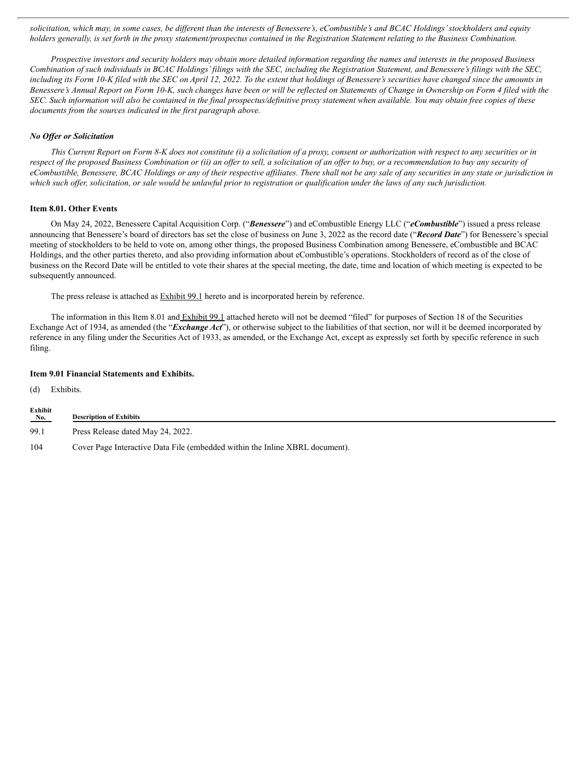solicitation, which may, in some cases, be different than the interests of Benessere's, eCombustible's and BCAC Holdings' stockholders and equity holders generally, is set forth in the proxy statement/prospectus contained in the Registration Statement relating to the Business Combination.

Prospective investors and security holders may obtain more detailed information regarding the names and interests in the proposed Business Combination of such individuals in BCAC Holdings' filings with the SEC, including the Registration Statement, and Benessere's filings with the SEC, including its Form 10-K filed with the SEC on April 12, 2022. To the extent that holdings of Benessere's securities have changed since the amounts in Benessere's Annual Report on Form 10-K, such changes have been or will be reflected on Statements of Change in Ownership on Form 4 filed with the SEC. Such information will also be contained in the final prospectus/definitive proxy statement when available. You may obtain free copies of these *documents from the sources indicated in the first paragraph above.*

### *No Of er or Solicitation*

This Current Report on Form 8-K does not constitute (i) a solicitation of a proxy, consent or authorization with respect to any securities or in respect of the proposed Business Combination or (ii) an offer to sell, a solicitation of an offer to buy, or a recommendation to buy any security of eCombustible, Benessere, BCAC Holdings or any of their respective affiliates. There shall not be any sale of any securities in any state or jurisdiction in which such offer, solicitation, or sale would be unlawful prior to registration or qualification under the laws of any such jurisdiction.

#### **Item 8.01. Other Events**

On May 24, 2022, Benessere Capital Acquisition Corp. ("*Benessere*") and eCombustible Energy LLC ("*eCombustible*") issued a press release announcing that Benessere's board of directors has set the close of business on June 3, 2022 as the record date ("*Record Date*") for Benessere's special meeting of stockholders to be held to vote on, among other things, the proposed Business Combination among Benessere, eCombustible and BCAC Holdings, and the other parties thereto, and also providing information about eCombustible's operations. Stockholders of record as of the close of business on the Record Date will be entitled to vote their shares at the special meeting, the date, time and location of which meeting is expected to be subsequently announced.

The press release is attached as **Exhibit 99.1** hereto and is incorporated herein by reference.

The information in this Item 8.01 and Exhibit 99.1 attached hereto will not be deemed "filed" for purposes of Section 18 of the Securities Exchange Act of 1934, as amended (the "*Exchange Act*"), or otherwise subject to the liabilities of that section, nor will it be deemed incorporated by reference in any filing under the Securities Act of 1933, as amended, or the Exchange Act, except as expressly set forth by specific reference in such filing.

### **Item 9.01 Financial Statements and Exhibits.**

(d) Exhibits.

| Exhibit<br>No. | <b>Description of Exhibits</b>                                               |
|----------------|------------------------------------------------------------------------------|
| 99.1           | Press Release dated May 24, 2022.                                            |
| 104            | Cover Page Interactive Data File (embedded within the Inline XBRL document). |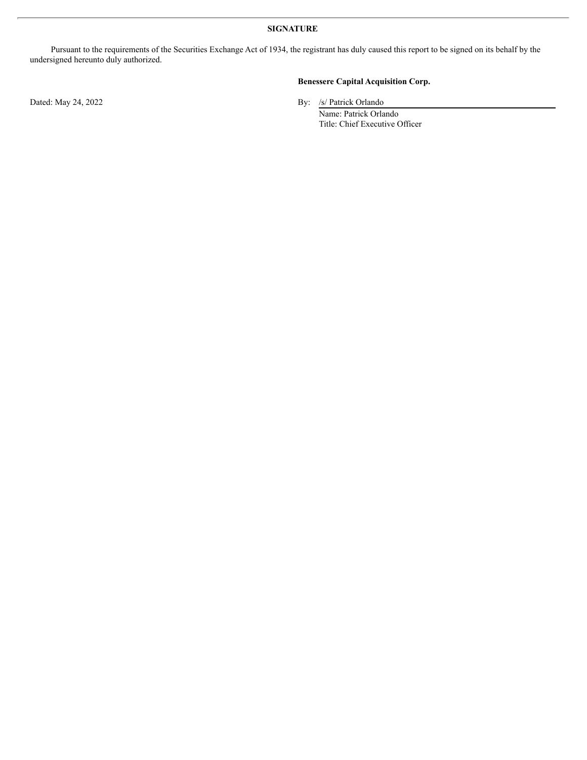### **SIGNATURE**

Pursuant to the requirements of the Securities Exchange Act of 1934, the registrant has duly caused this report to be signed on its behalf by the undersigned hereunto duly authorized.

### **Benessere Capital Acquisition Corp.**

Dated: May 24, 2022 By: /s/ Patrick Orlando

Name: Patrick Orlando Title: Chief Executive Officer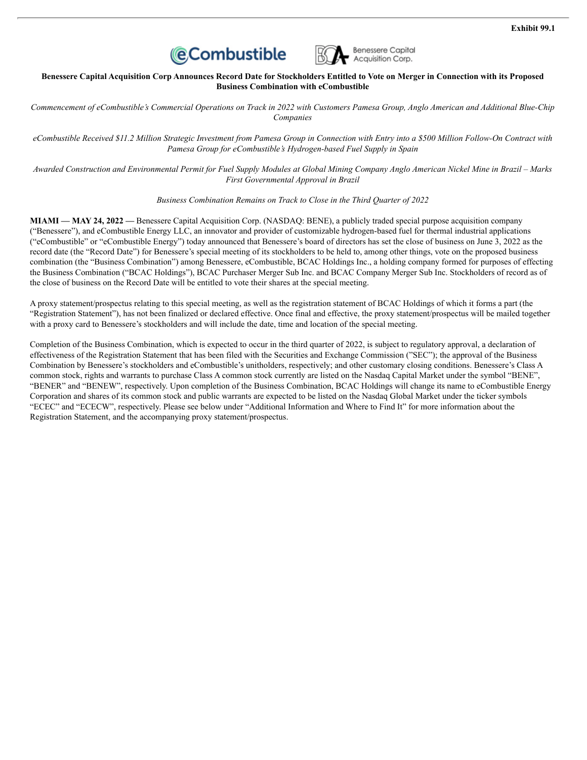



Benessere Capital Acquisition Corp Announces Record Date for Stockholders Entitled to Vote on Merger in Connection with its Proposed **Business Combination with eCombustible**

Commencement of eCombustible's Commercial Operations on Track in 2022 with Customers Pamesa Group, Anglo American and Additional Blue-Chip *Companies*

eCombustible Received \$11.2 Million Strategic Investment from Pamesa Group in Connection with Entry into a \$500 Million Follow-On Contract with *Pamesa Group for eCombustible's Hydrogen-based Fuel Supply in Spain*

Awarded Construction and Environmental Permit for Fuel Supply Modules at Global Mining Company Anglo American Nickel Mine in Brazil - Marks *First Governmental Approval in Brazil*

*Business Combination Remains on Track to Close in the Third Quarter of 2022*

**MIAMI — MAY 24, 2022 —** Benessere Capital Acquisition Corp. (NASDAQ: BENE), a publicly traded special purpose acquisition company ("Benessere"), and eCombustible Energy LLC, an innovator and provider of customizable hydrogen-based fuel for thermal industrial applications ("eCombustible" or "eCombustible Energy") today announced that Benessere's board of directors has set the close of business on June 3, 2022 as the record date (the "Record Date") for Benessere's special meeting of its stockholders to be held to, among other things, vote on the proposed business combination (the "Business Combination") among Benessere, eCombustible, BCAC Holdings Inc., a holding company formed for purposes of effecting the Business Combination ("BCAC Holdings"), BCAC Purchaser Merger Sub Inc. and BCAC Company Merger Sub Inc. Stockholders of record as of the close of business on the Record Date will be entitled to vote their shares at the special meeting.

A proxy statement/prospectus relating to this special meeting, as well as the registration statement of BCAC Holdings of which it forms a part (the "Registration Statement"), has not been finalized or declared effective. Once final and effective, the proxy statement/prospectus will be mailed together with a proxy card to Benessere's stockholders and will include the date, time and location of the special meeting.

Completion of the Business Combination, which is expected to occur in the third quarter of 2022, is subject to regulatory approval, a declaration of effectiveness of the Registration Statement that has been filed with the Securities and Exchange Commission ("SEC"); the approval of the Business Combination by Benessere's stockholders and eCombustible's unitholders, respectively; and other customary closing conditions. Benessere's Class A common stock, rights and warrants to purchase Class A common stock currently are listed on the Nasdaq Capital Market under the symbol "BENE", "BENER" and "BENEW", respectively. Upon completion of the Business Combination, BCAC Holdings will change its name to eCombustible Energy Corporation and shares of its common stock and public warrants are expected to be listed on the Nasdaq Global Market under the ticker symbols "ECEC" and "ECECW", respectively. Please see below under "Additional Information and Where to Find It" for more information about the Registration Statement, and the accompanying proxy statement/prospectus.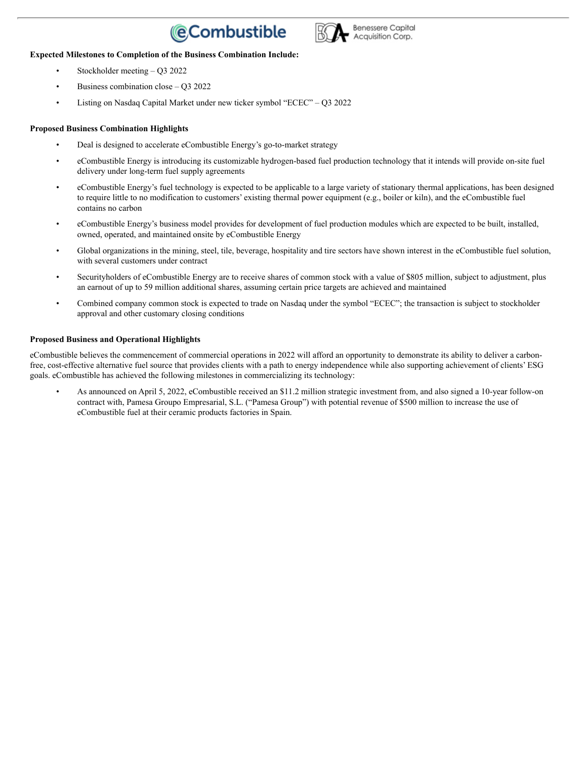### **(**eCombustible



### **Expected Milestones to Completion of the Business Combination Include:**

- Stockholder meeting Q3 2022
- Business combination close Q3 2022
- Listing on Nasdaq Capital Market under new ticker symbol "ECEC" Q3 2022

### **Proposed Business Combination Highlights**

- Deal is designed to accelerate eCombustible Energy's go-to-market strategy
- eCombustible Energy is introducing its customizable hydrogen-based fuel production technology that it intends will provide on-site fuel delivery under long-term fuel supply agreements
- eCombustible Energy's fuel technology is expected to be applicable to a large variety of stationary thermal applications, has been designed to require little to no modification to customers' existing thermal power equipment (e.g., boiler or kiln), and the eCombustible fuel contains no carbon
- eCombustible Energy's business model provides for development of fuel production modules which are expected to be built, installed, owned, operated, and maintained onsite by eCombustible Energy
- Global organizations in the mining, steel, tile, beverage, hospitality and tire sectors have shown interest in the eCombustible fuel solution, with several customers under contract
- Securityholders of eCombustible Energy are to receive shares of common stock with a value of \$805 million, subject to adjustment, plus an earnout of up to 59 million additional shares, assuming certain price targets are achieved and maintained
- Combined company common stock is expected to trade on Nasdaq under the symbol "ECEC"; the transaction is subject to stockholder approval and other customary closing conditions

### **Proposed Business and Operational Highlights**

eCombustible believes the commencement of commercial operations in 2022 will afford an opportunity to demonstrate its ability to deliver a carbonfree, cost-effective alternative fuel source that provides clients with a path to energy independence while also supporting achievement of clients' ESG goals. eCombustible has achieved the following milestones in commercializing its technology:

• As announced on April 5, 2022, eCombustible received an \$11.2 million strategic investment from, and also signed a 10-year follow-on contract with, Pamesa Groupo Empresarial, S.L. ("Pamesa Group") with potential revenue of \$500 million to increase the use of eCombustible fuel at their ceramic products factories in Spain.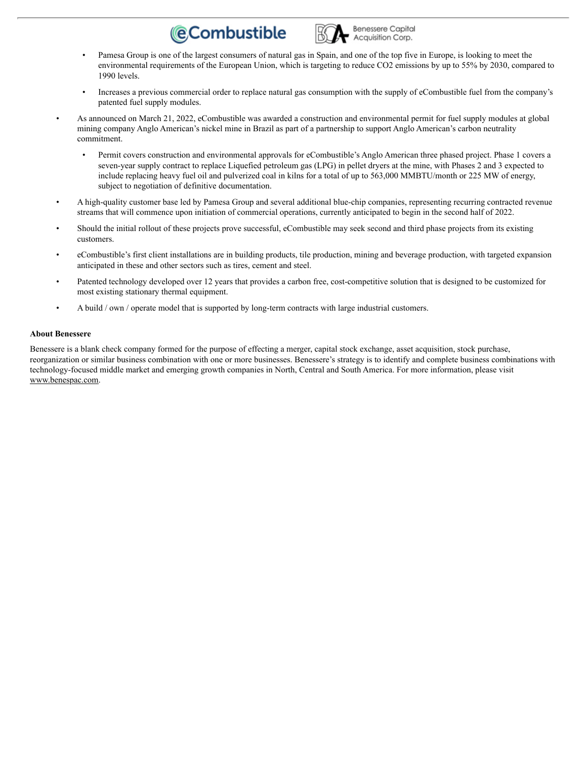### **@Combustible**



- Pamesa Group is one of the largest consumers of natural gas in Spain, and one of the top five in Europe, is looking to meet the environmental requirements of the European Union, which is targeting to reduce CO2 emissions by up to 55% by 2030, compared to 1990 levels.
- Increases a previous commercial order to replace natural gas consumption with the supply of eCombustible fuel from the company's patented fuel supply modules.
- As announced on March 21, 2022, eCombustible was awarded a construction and environmental permit for fuel supply modules at global mining company Anglo American's nickel mine in Brazil as part of a partnership to support Anglo American's carbon neutrality commitment.
	- Permit covers construction and environmental approvals for eCombustible's Anglo American three phased project. Phase 1 covers a seven-year supply contract to replace Liquefied petroleum gas (LPG) in pellet dryers at the mine, with Phases 2 and 3 expected to include replacing heavy fuel oil and pulverized coal in kilns for a total of up to 563,000 MMBTU/month or 225 MW of energy, subject to negotiation of definitive documentation.
- A high-quality customer base led by Pamesa Group and several additional blue-chip companies, representing recurring contracted revenue streams that will commence upon initiation of commercial operations, currently anticipated to begin in the second half of 2022.
- Should the initial rollout of these projects prove successful, eCombustible may seek second and third phase projects from its existing customers.
- eCombustible's first client installations are in building products, tile production, mining and beverage production, with targeted expansion anticipated in these and other sectors such as tires, cement and steel.
- Patented technology developed over 12 years that provides a carbon free, cost-competitive solution that is designed to be customized for most existing stationary thermal equipment.
- A build / own / operate model that is supported by long-term contracts with large industrial customers.

### **About Benessere**

Benessere is a blank check company formed for the purpose of effecting a merger, capital stock exchange, asset acquisition, stock purchase, reorganization or similar business combination with one or more businesses. Benessere's strategy is to identify and complete business combinations with technology-focused middle market and emerging growth companies in North, Central and South America. For more information, please visit www.benespac.com.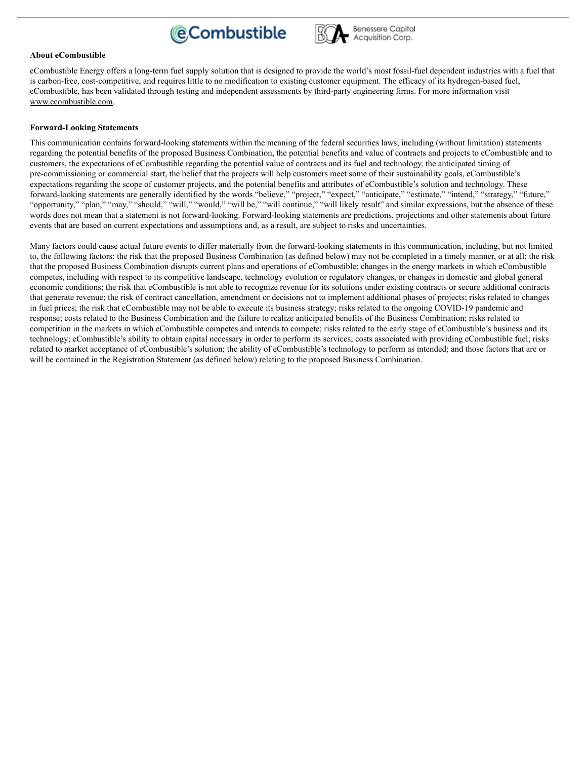



### **About eCombustible**

eCombustible Energy offers a long-term fuel supply solution that is designed to provide the world's most fossil-fuel dependent industries with a fuel that is carbon-free, cost-competitive, and requires little to no modification to existing customer equipment. The efficacy of its hydrogen-based fuel, eCombustible, has been validated through testing and independent assessments by third-party engineering firms. For more information visit www.ecombustible.com.

### **Forward-Looking Statements**

This communication contains forward-looking statements within the meaning of the federal securities laws, including (without limitation) statements regarding the potential benefits of the proposed Business Combination, the potential benefits and value of contracts and projects to eCombustible and to customers, the expectations of eCombustible regarding the potential value of contracts and its fuel and technology, the anticipated timing of pre-commissioning or commercial start, the belief that the projects will help customers meet some of their sustainability goals, eCombustible's expectations regarding the scope of customer projects, and the potential benefits and attributes of eCombustible's solution and technology. These forward-looking statements are generally identified by the words "believe," "project," "expect," "anticipate," "estimate," "intend," "strategy," "future," "opportunity," "plan," "may," "should," "will," "would," "will be," "will continue," "will likely result" and similar expressions, but the absence of these words does not mean that a statement is not forward-looking. Forward-looking statements are predictions, projections and other statements about future events that are based on current expectations and assumptions and, as a result, are subject to risks and uncertainties.

Many factors could cause actual future events to differ materially from the forward-looking statements in this communication, including, but not limited to, the following factors: the risk that the proposed Business Combination (as defined below) may not be completed in a timely manner, or at all; the risk that the proposed Business Combination disrupts current plans and operations of eCombustible; changes in the energy markets in which eCombustible competes, including with respect to its competitive landscape, technology evolution or regulatory changes, or changes in domestic and global general economic conditions; the risk that eCombustible is not able to recognize revenue for its solutions under existing contracts or secure additional contracts that generate revenue; the risk of contract cancellation, amendment or decisions not to implement additional phases of projects; risks related to changes in fuel prices; the risk that eCombustible may not be able to execute its business strategy; risks related to the ongoing COVID-19 pandemic and response; costs related to the Business Combination and the failure to realize anticipated benefits of the Business Combination; risks related to competition in the markets in which eCombustible competes and intends to compete; risks related to the early stage of eCombustible's business and its technology; eCombustible's ability to obtain capital necessary in order to perform its services; costs associated with providing eCombustible fuel; risks related to market acceptance of eCombustible's solution; the ability of eCombustible's technology to perform as intended; and those factors that are or will be contained in the Registration Statement (as defined below) relating to the proposed Business Combination.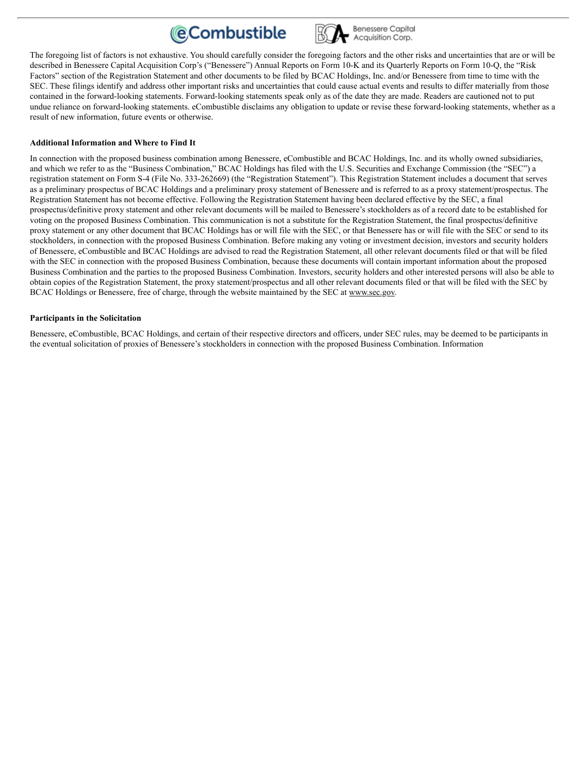



The foregoing list of factors is not exhaustive. You should carefully consider the foregoing factors and the other risks and uncertainties that are or will be described in Benessere Capital Acquisition Corp's ("Benessere") Annual Reports on Form 10-K and its Quarterly Reports on Form 10-Q, the "Risk Factors" section of the Registration Statement and other documents to be filed by BCAC Holdings, Inc. and/or Benessere from time to time with the SEC. These filings identify and address other important risks and uncertainties that could cause actual events and results to differ materially from those contained in the forward-looking statements. Forward-looking statements speak only as of the date they are made. Readers are cautioned not to put undue reliance on forward-looking statements. eCombustible disclaims any obligation to update or revise these forward-looking statements, whether as a result of new information, future events or otherwise.

### **Additional Information and Where to Find It**

In connection with the proposed business combination among Benessere, eCombustible and BCAC Holdings, Inc. and its wholly owned subsidiaries, and which we refer to as the "Business Combination," BCAC Holdings has filed with the U.S. Securities and Exchange Commission (the "SEC") a registration statement on Form S-4 (File No. 333-262669) (the "Registration Statement"). This Registration Statement includes a document that serves as a preliminary prospectus of BCAC Holdings and a preliminary proxy statement of Benessere and is referred to as a proxy statement/prospectus. The Registration Statement has not become effective. Following the Registration Statement having been declared effective by the SEC, a final prospectus/definitive proxy statement and other relevant documents will be mailed to Benessere's stockholders as of a record date to be established for voting on the proposed Business Combination. This communication is not a substitute for the Registration Statement, the final prospectus/definitive proxy statement or any other document that BCAC Holdings has or will file with the SEC, or that Benessere has or will file with the SEC or send to its stockholders, in connection with the proposed Business Combination. Before making any voting or investment decision, investors and security holders of Benessere, eCombustible and BCAC Holdings are advised to read the Registration Statement, all other relevant documents filed or that will be filed with the SEC in connection with the proposed Business Combination, because these documents will contain important information about the proposed Business Combination and the parties to the proposed Business Combination. Investors, security holders and other interested persons will also be able to obtain copies of the Registration Statement, the proxy statement/prospectus and all other relevant documents filed or that will be filed with the SEC by BCAC Holdings or Benessere, free of charge, through the website maintained by the SEC at www.sec.gov.

### **Participants in the Solicitation**

Benessere, eCombustible, BCAC Holdings, and certain of their respective directors and officers, under SEC rules, may be deemed to be participants in the eventual solicitation of proxies of Benessere's stockholders in connection with the proposed Business Combination. Information